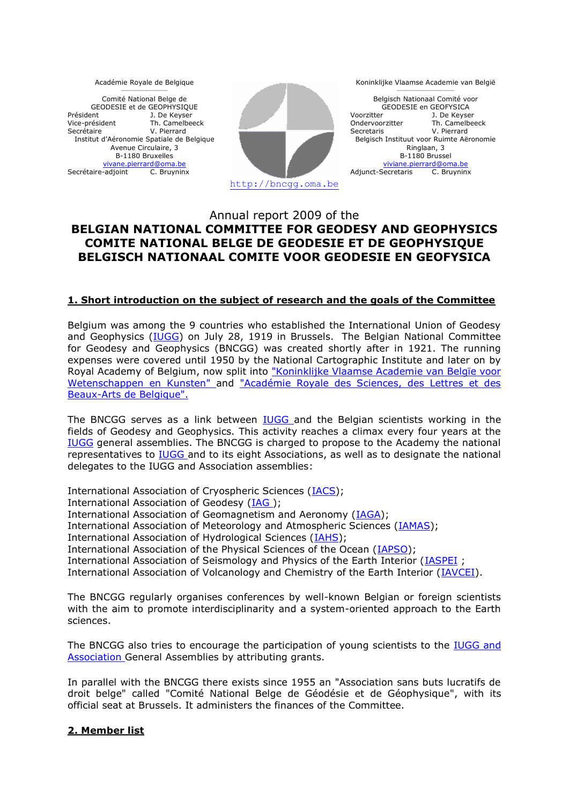Académie Royale de Belgique  $\mathcal{L}_\text{max}$ 

Comité National Belge de GEODESIE et de GEOPHYSIQUE Président Vice-président Secrétaire J. De Keyser Th. Camelbeeck V. Pierrard Institut d'Aéronomie Spatiale de Belgique Avenue Circulaire, 3 B-1180 Bruxelles [vivane.pierrard@oma.be](mailto:vivane.pierrard@oma.be)<br>Secrétaire-adjoint C. Bruyninx



Koninklijke Vlaamse Academie van België  $\mathcal{L}_\text{max}$ 

Belgisch Nationaal Comité voor GEODESIE en GEOFYSICA Voorzitter Ondervoorzitter Secretaris J. De Keyser Th. Camelbeeck V. Pierrard Belgisch Instituut voor Ruimte Aëronomie Ringlaan, 3 B-1180 Brussel <viviane.pierrard@oma.be><br>Secretaris C. Bruvninx Adjunct-Secretaris

# Annual report 2009 of the **BELGIAN NATIONAL COMMITTEE FOR GEODESY AND GEOPHYSICS COMITE NATIONAL BELGE DE GEODESIE ET DE GEOPHYSIQUE BELGISCH NATIONAAL COMITE VOOR GEODESIE EN GEOFYSICA**

## **1. Short introduction on the subject of research and the goals of the Committee**

Belgium was among the 9 countries who established the International Union of Geodesy and Geophysics [\(IUGG\)](http://www.iugg.org/) on July 28, 1919 in Brussels. The Belgian National Committee for Geodesy and Geophysics (BNCGG) was created shortly after in 1921. The running expenses were covered until 1950 by the National Cartographic Institute and later on by Royal Academy of Belgium, now split into ["Koninklijke Vlaamse Academie van Belgïe voor](http://www.kvab.be/)  [Wetenschappen en Kunsten" a](http://www.kvab.be/)nd ["Académie Royale des Sciences, des Lettres et des](http://www.cfwb.be/arb/home.htm)  [Beaux-Arts de Belgique".](http://www.cfwb.be/arb/home.htm)

The BNCGG serves as a link between **IUGG** and the Belgian scientists working in the fields of Geodesy and Geophysics. This activity reaches a climax every four years at the [IUGG](http://www.iugg.org/) general assemblies. The BNCGG is charged to propose to the Academy the national representatives to [IUGG a](http://www.iugg.org/)nd to its eight Associations, as well as to designate the national delegates to the IUGG and Association assemblies:

International Association of Cryospheric Sciences [\(IACS\)](http://www.cryosphericsciences.org/); International Association of Geodesy [\(IAG \)](http://www.iag-aig.org/); International Association of Geomagnetism and Aeronomy [\(IAGA\)](http://www.iugg.org/IAGA/); International Association of Meteorology and Atmospheric Sciences (*IAMAS*); International Association of Hydrological Sciences [\(IAHS\)](http://www.cig.ensmp.fr/~iahs/); International Association of the Physical Sciences of the Ocean [\(IAPSO\)](http://www.iugg.org/iapso/); International Association of Seismology and Physics of the Earth Interior [\(IASPEI](http://www.iaspei.org/) ; International Association of Volcanology and Chemistry of the Earth Interior [\(IAVCEI\)](http://www.iugg.org/iavcei/).

The BNCGG regularly organises conferences by well-known Belgian or foreign scientists with the aim to promote interdisciplinarity and a system-oriented approach to the Earth sciences.

The BNCGG also tries to encourage the participation of young scientists to the [IUGG](http://www.iugg.org/) and [Association](http://www.iugg.org/) General Assemblies by attributing grants.

In parallel with the BNCGG there exists since 1955 an "Association sans buts lucratifs de droit belge" called "Comité National Belge de Géodésie et de Géophysique", with its official seat at Brussels. It administers the finances of the Committee.

### **2. Member list**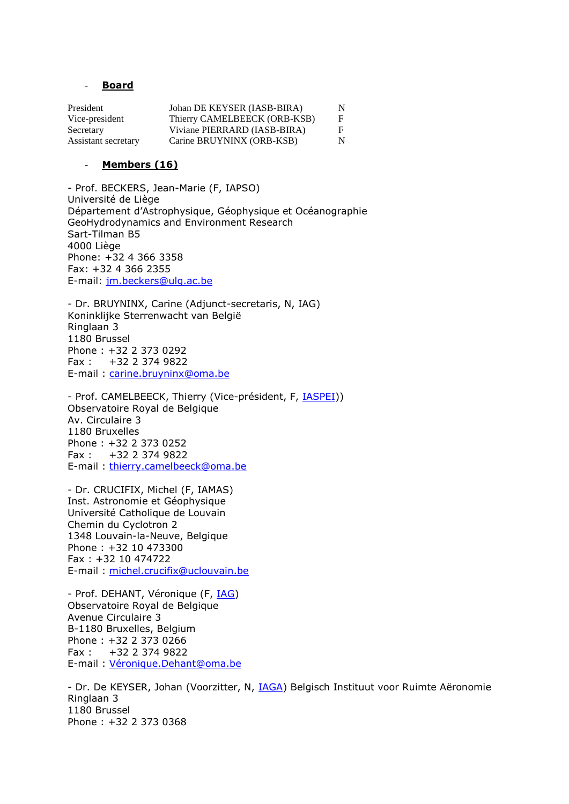#### - **Board**

| President           | Johan DE KEYSER (IASB-BIRA)  | N  |
|---------------------|------------------------------|----|
| Vice-president      | Thierry CAMELBEECK (ORB-KSB) | F  |
| Secretary           | Viviane PIERRARD (IASB-BIRA) | F. |
| Assistant secretary | Carine BRUYNINX (ORB-KSB)    | N  |

#### - **Members (16)**

- Prof. BECKERS, Jean-Marie (F, IAPSO) Université de Liège Département d'Astrophysique, Géophysique et Océanographie GeoHydrodynamics and Environment Research Sart-Tilman B5 4000 Liège Phone: +32 4 366 3358 Fax: +32 4 366 2355 E-mail: [jm.beckers@ulg.ac.be](mailto:jm.beckers@ulg.ac.be)

- Dr. BRUYNINX, Carine (Adjunct-secretaris, N, IAG) Koninklijke Sterrenwacht van België Ringlaan 3 1180 Brussel Phone : +32 2 373 0292 Fax : +32 2 374 9822 E-mail : [carine.bruyninx@oma.be](mailto:carine.bruyninx@oma.be)

- Prof. CAMELBEECK, Thierry (Vice-président, F, *IASPEI*)) Observatoire Royal de Belgique Av. Circulaire 3 1180 Bruxelles Phone : +32 2 373 0252 Fax : +32 2 374 9822 E-mail : [thierry.camelbeeck@oma.be](mailto:thierry.camelbeeck@oma.be)

- Dr. CRUCIFIX, Michel (F, IAMAS) Inst. Astronomie et Géophysique Université Catholique de Louvain Chemin du Cyclotron 2 1348 Louvain-la-Neuve, Belgique Phone : +32 10 473300 Fax : +32 10 474722 E-mail : [michel.crucifix@uclouvain.be](mailto:michel.crucifix@uclouvain.be)

- Prof. DEHANT, Véronique (F, [IAG\)](http://www.iag-aig.org/) Observatoire Royal de Belgique Avenue Circulaire 3 B-1180 Bruxelles, Belgium Phone : +32 2 373 0266 Fax : +32 2 374 9822 E-mail : [Véronique.Dehant@oma.be](mailto:V%C3%A9ronique.Dehant@oma.be)

- Dr. De KEYSER, Johan (Voorzitter, N, [IAGA\)](http://www.iugg.org/IAGA) Belgisch Instituut voor Ruimte Aëronomie Ringlaan 3 1180 Brussel Phone : +32 2 373 0368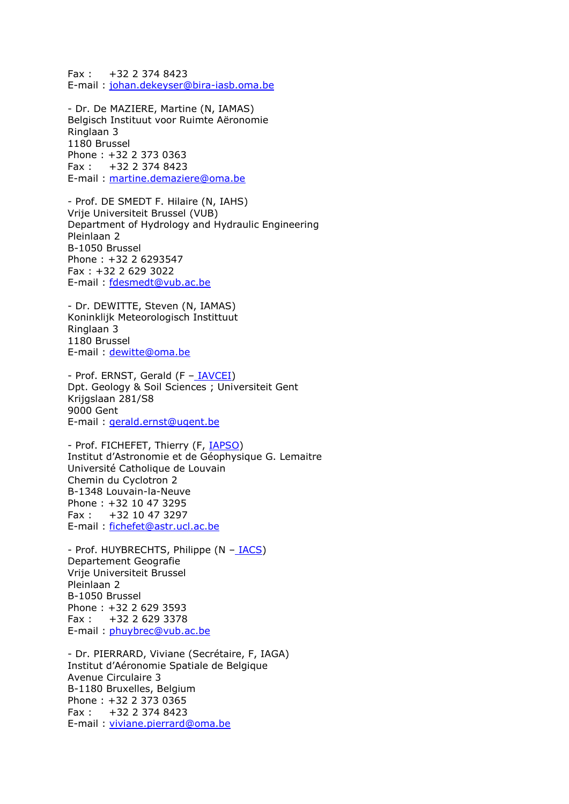Fax : +32 2 374 8423 E-mail : [johan.dekeyser@bira-iasb.oma.be](mailto:johan.dekeyser@bira-iasb.oma.be)

- Dr. De MAZIERE, Martine (N, IAMAS) Belgisch Instituut voor Ruimte Aëronomie Ringlaan 3 1180 Brussel Phone : +32 2 373 0363 Fax : +32 2 374 8423 E-mail : [martine.demaziere@oma.be](mailto:martine.demaziere@oma.be)

- Prof. DE SMEDT F. Hilaire (N, IAHS) Vrije Universiteit Brussel (VUB) Department of Hydrology and Hydraulic Engineering Pleinlaan 2 B-1050 Brussel Phone : +32 2 6293547 Fax : +32 2 629 3022 E-mail : [fdesmedt@vub.ac.be](mailto:fdesmedt@vub.ac.be)

- Dr. DEWITTE, Steven (N, IAMAS) Koninklijk Meteorologisch Instittuut Ringlaan 3 1180 Brussel E-mail : [dewitte@oma.be](mailto:dewitte@oma.be)

- Prof. ERNST, Gerald (F - [IAVCEI\)](http://www.iaspei.org/) Dpt. Geology & Soil Sciences ; Universiteit Gent Krijgslaan 281/S8 9000 Gent E-mail : [gerald.ernst@ugent.be](mailto:gerald.ernst@ugent.be)

- Prof. FICHEFET, Thierry (F, [IAPSO\)](http://www.iugg.org/iapso) Institut d'Astronomie et de Géophysique G. Lemaitre Université Catholique de Louvain Chemin du Cyclotron 2 B-1348 Louvain-la-Neuve Phone : +32 10 47 3295 Fax : +32 10 47 3297 E-mail : [fichefet@astr.ucl.ac.be](mailto:fichefet@astr.ucl.ac.be)

- Prof. HUYBRECHTS, Philippe (N - [IACS\)](http://www.iugg.org/iacs/) Departement Geografie Vrije Universiteit Brussel Pleinlaan 2 B-1050 Brussel Phone : +32 2 629 3593 Fax : +32 2 629 3378 E-mail : [phuybrec@vub.ac.be](mailto:phuybrec@vub.ac.be)

- Dr. PIERRARD, Viviane (Secrétaire, F, IAGA) Institut d'Aéronomie Spatiale de Belgique Avenue Circulaire 3 B-1180 Bruxelles, Belgium Phone : +32 2 373 0365 Fax : +32 2 374 8423 E-mail : [viviane.pierrard@oma.be](mailto:viviane.pierrard@oma.be)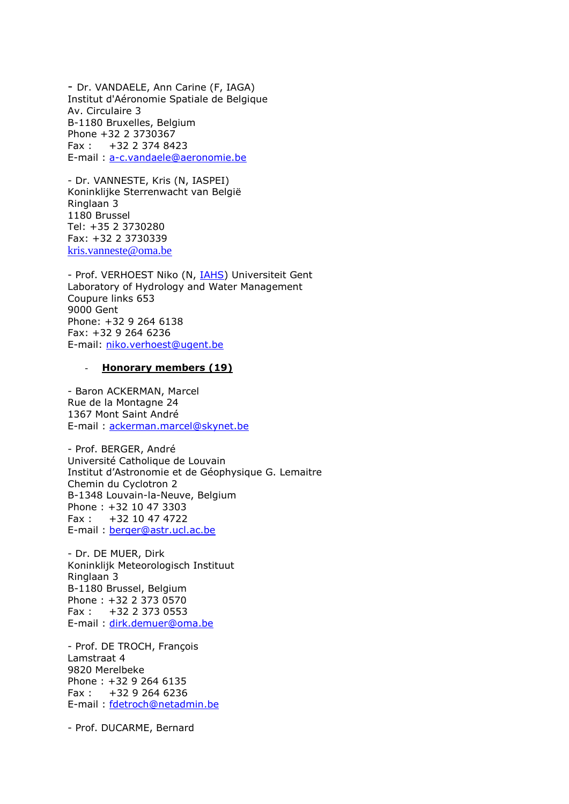- Dr. VANDAELE, Ann Carine (F, IAGA) Institut d'Aéronomie Spatiale de Belgique Av. Circulaire 3 B-1180 Bruxelles, Belgium Phone +32 2 3730367 Fax : +32 2 374 8423 E-mail : [a-c.vandaele@aeronomie.be](mailto:Carinea-c.vandaele@aeronomie.be)

- Dr. VANNESTE, Kris (N, IASPEI) Koninklijke Sterrenwacht van België Ringlaan 3 1180 Brussel Tel: +35 2 3730280 Fax: +32 2 3730339 [kris.vanneste@oma.be](mailto:kris.vanneste@oma.be)

- Prof. VERHOEST Niko (N, **IAHS)** Universiteit Gent Laboratory of Hydrology and Water Management Coupure links 653 9000 Gent Phone: +32 9 264 6138 Fax: +32 9 264 6236 E-mail: [niko.verhoest@ugent.be](mailto:niko.verhoest@ugent.be)

#### - **Honorary members (19)**

- Baron ACKERMAN, Marcel Rue de la Montagne 24 1367 Mont Saint André E-mail : [ackerman.marcel@skynet.be](mailto:ackerman.marcel@skynet.be)

- Prof. BERGER, André Université Catholique de Louvain Institut d'Astronomie et de Géophysique G. Lemaitre Chemin du Cyclotron 2 B-1348 Louvain-la-Neuve, Belgium Phone : +32 10 47 3303  $Fax : +32 10 47 4722$ E-mail : [berger@astr.ucl.ac.be](mailto:berger@astr.ucl.ac.be)

- Dr. DE MUER, Dirk Koninklijk Meteorologisch Instituut Ringlaan 3 B-1180 Brussel, Belgium Phone : +32 2 373 0570 Fax : +32 2 373 0553 E-mail : [dirk.demuer@oma.be](mailto:dirk.demuer@oma.be)

- Prof. DE TROCH, François Lamstraat 4 9820 Merelbeke Phone : +32 9 264 6135 Fax : +32 9 264 6236 E-mail : [fdetroch@netadmin.be](mailto:fdetroch@netadmin.be)

- Prof. DUCARME, Bernard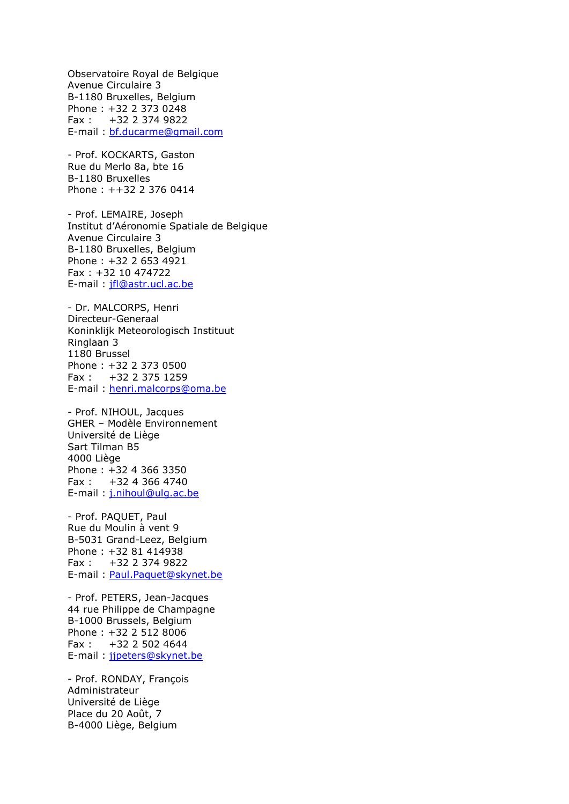Observatoire Royal de Belgique Avenue Circulaire 3 B-1180 Bruxelles, Belgium Phone : +32 2 373 0248 Fax : +32 2 374 9822 E-mail : [bf.ducarme@gmail.com](mailto:bf.ducarme@gmail.com)

- Prof. KOCKARTS, Gaston Rue du Merlo 8a, bte 16 B-1180 Bruxelles Phone : ++32 2 376 0414

- Prof. LEMAIRE, Joseph Institut d'Aéronomie Spatiale de Belgique Avenue Circulaire 3 B-1180 Bruxelles, Belgium Phone : +32 2 653 4921 Fax : +32 10 474722 E-mail : [jfl@astr.ucl.ac.be](mailto:jfl@astr.ucl.ac.be)

- Dr. MALCORPS, Henri Directeur-Generaal Koninklijk Meteorologisch Instituut Ringlaan 3 1180 Brussel Phone : +32 2 373 0500 Fax : +32 2 375 1259 E-mail : [henri.malcorps@oma.be](mailto:henri.malcorps@oma.be)

- Prof. NIHOUL, Jacques GHER – Modèle Environnement Université de Liège Sart Tilman B5 4000 Liège Phone : +32 4 366 3350 Fax : +32 4 366 4740 E-mail : [j.nihoul@ulg.ac.be](mailto:j.nihoul@ulg.ac.be)

- Prof. PAQUET, Paul Rue du Moulin à vent 9 B-5031 Grand-Leez, Belgium Phone : +32 81 414938 Fax : +32 2 374 9822 E-mail : [Paul.Paquet@skynet.be](mailto:Paul.Paquet@oma.be)

- Prof. PETERS, Jean-Jacques 44 rue Philippe de Champagne B-1000 Brussels, Belgium Phone : +32 2 512 8006 Fax : +32 2 502 4644 E-mail : [jjpeters@skynet.be](mailto:jjpeters@vub.ac.be)

- Prof. RONDAY, François Administrateur Université de Liège Place du 20 Août, 7 B-4000 Liège, Belgium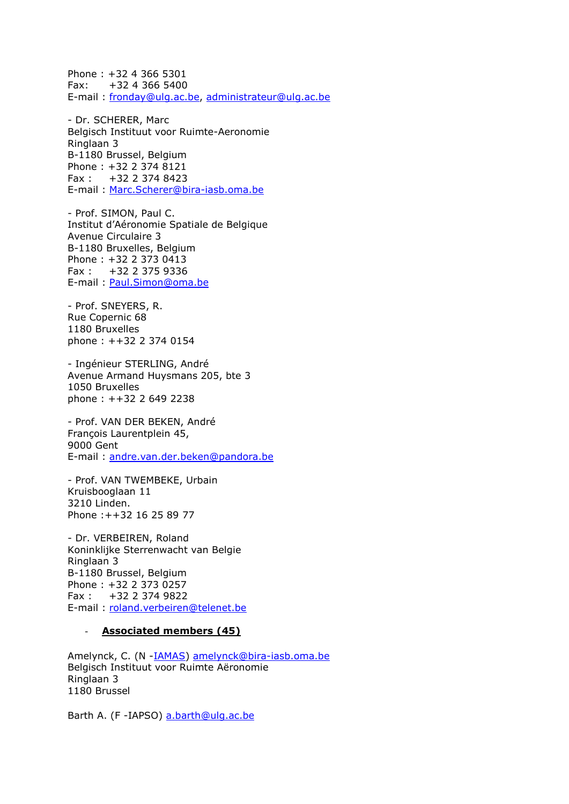Phone : +32 4 366 5301 Fax: +32 4 366 5400 E-mail : [fronday@ulg.ac.be,](mailto:fronday@ulg.ac.be) [administrateur@ulg.ac.be](mailto:administrateur@ulg.ac.be)

- Dr. SCHERER, Marc Belgisch Instituut voor Ruimte-Aeronomie Ringlaan 3 B-1180 Brussel, Belgium Phone : +32 2 374 8121 Fax : +32 2 374 8423 E-mail : [Marc.Scherer@bira-iasb.oma.be](mailto:Marc.Scherer@bira-iasb.oma.be)

- Prof. SIMON, Paul C. Institut d'Aéronomie Spatiale de Belgique Avenue Circulaire 3 B-1180 Bruxelles, Belgium Phone : +32 2 373 0413 Fax : +32 2 375 9336 E-mail : [Paul.Simon@oma.be](mailto:Paul.Simon@oma.be)

- Prof. SNEYERS, R. Rue Copernic 68 1180 Bruxelles phone : ++32 2 374 0154

- Ingénieur STERLING, André Avenue Armand Huysmans 205, bte 3 1050 Bruxelles phone : ++32 2 649 2238

- Prof. VAN DER BEKEN, André François Laurentplein 45, 9000 Gent E-mail : [andre.van.der.beken@pandora.be](mailto:avdbeken@vub.ac.be)

- Prof. VAN TWEMBEKE, Urbain Kruisbooglaan 11 3210 Linden. Phone :++32 16 25 89 77

- Dr. VERBEIREN, Roland Koninklijke Sterrenwacht van Belgie Ringlaan 3 B-1180 Brussel, Belgium Phone : +32 2 373 0257 Fax : +32 2 374 9822 E-mail : [roland.verbeiren@telenet.be](mailto:roland.verbeiren@telenet.be)

#### - **Associated members (45)**

Amelynck, C. (N [-IAMAS\)](http://www.iamas.org/) [amelynck@bira-iasb.oma.be](mailto:amelynck@bira-iasb.oma.be) Belgisch Instituut voor Ruimte Aëronomie Ringlaan 3 1180 Brussel

Barth A. (F -IAPSO) [a.barth@ulg.ac.be](mailto:amelynck@bira-iasb.oma.be)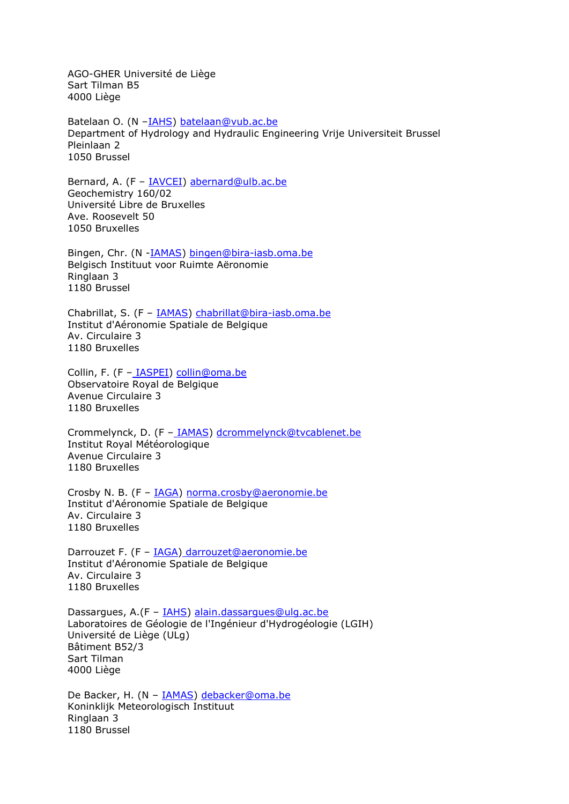AGO-GHER Université de Liège Sart Tilman B5 4000 Liège

Batelaan O. (N -[IAHS\)](http://www.cig.ensmp.fr/~iahs/) batelaan@vub.ac.be Department of Hydrology and Hydraulic Engineering Vrije Universiteit Brussel Pleinlaan 2 1050 Brussel

Bernard, A. (F - [IAVCEI\)](http://www.iavcei.org/) [abernard@ulb.ac.be](mailto:abernard@ulb.ac.be) Geochemistry 160/02 Université Libre de Bruxelles Ave. Roosevelt 50 1050 Bruxelles

Bingen, Chr. (N [-IAMAS\)](http://www.iamas.org/) [bingen@bira-iasb.oma.be](mailto:bingen@bira-iasb.oma.be) Belgisch Instituut voor Ruimte Aëronomie Ringlaan 3 1180 Brussel

Chabrillat, S. (F – [IAMAS\)](http://www.iamas.org/) [chabrillat@bira-iasb.oma.be](mailto:chabrillat@bira-iasb.oma.be) Institut d'Aéronomie Spatiale de Belgique Av. Circulaire 3 1180 Bruxelles

Collin, F. (F - [IASPEI\)](http://www.iaspei.org/) [collin@oma.be](mailto:collin@oma.be) Observatoire Royal de Belgique Avenue Circulaire 3 1180 Bruxelles

Crommelynck, D. (F - [IAMAS\)](http://www.iamas.org/) [dcrommelynck@tvcablenet.be](mailto:collin@oma.be) Institut Royal Météorologique Avenue Circulaire 3 1180 Bruxelles

Crosby N. B. (F - **IAGA**) [norma.crosby@aeronomie.be](mailto:norma.crosby@aeronomie.be) Institut d'Aéronomie Spatiale de Belgique Av. Circulaire 3 1180 Bruxelles

Darrouzet F. (F - [IAGA\)](http://www.iugg.org/IAGA) [darrouzet@aeronomie.be](mailto:darrouzet@aeronomie.be) Institut d'Aéronomie Spatiale de Belgique Av. Circulaire 3 1180 Bruxelles

Dassargues, A.(F - [IAHS\)](http://www.cig.ensmp.fr/~iahs/) [alain.dassargues@ulg.ac.be](mailto:alain.dassargues@ulg.ac.be) Laboratoires de Géologie de l'Ingénieur d'Hydrogéologie (LGIH) Université de Liège (ULg) Bâtiment B52/3 Sart Tilman 4000 Liège

De Backer, H. (N - [IAMAS\)](http://www.iamas.org/) [debacker@oma.be](mailto:debacker@oma.be) Koninklijk Meteorologisch Instituut Ringlaan 3 1180 Brussel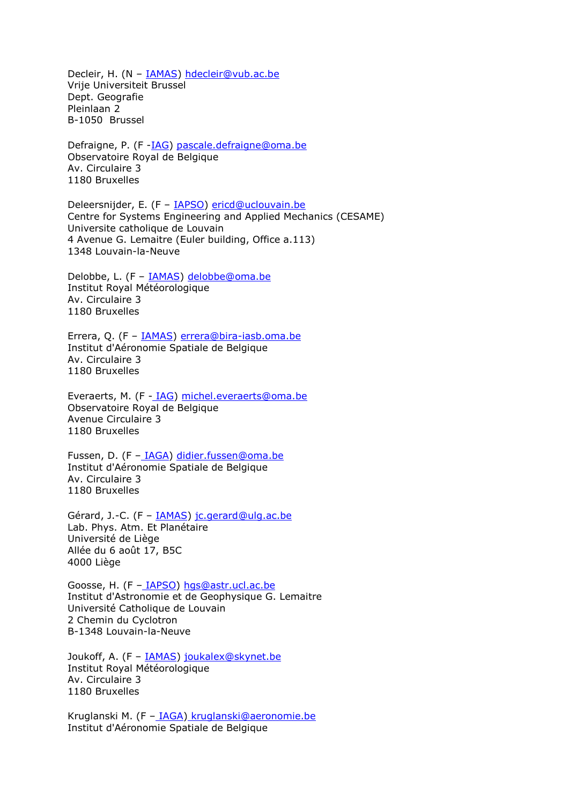Decleir, H. (N - **IAMAS**) [hdecleir@vub.ac.be](mailto:hdecleir@vub.ac.be) Vrije Universiteit Brussel Dept. Geografie Pleinlaan 2 B-1050 Brussel

Defraigne, P. (F -**IAG)** [pascale.defraigne@oma.be](mailto:pascale.defraigne@oma.be) Observatoire Royal de Belgique Av. Circulaire 3 1180 Bruxelles

Deleersnijder, E. (F – [IAPSO\)](http://www.iugg.org/iapso/) [ericd@uclouvain.be](mailto:ericd@uclouvain.be) Centre for Systems Engineering and Applied Mechanics (CESAME) Universite catholique de Louvain 4 Avenue G. Lemaitre (Euler building, Office a.113) 1348 Louvain-la-Neuve

Delobbe, L. (F – [IAMAS\)](http://www.iamas.org/) [delobbe@oma.be](mailto:delobbe@oma.be) Institut Royal Météorologique Av. Circulaire 3 1180 Bruxelles

Errera, Q. (F – [IAMAS\)](http://www.iamas.org/) [errera@bira-iasb.oma.be](mailto:errera@bira-iasb.oma.be) Institut d'Aéronomie Spatiale de Belgique Av. Circulaire 3 1180 Bruxelles

Everaerts, M. (F - [IAG\)](http://www.iag-aig.org/) [michel.everaerts@oma.be](mailto:michel.everaerts@oma.be) Observatoire Royal de Belgique Avenue Circulaire 3 1180 Bruxelles

Fussen, D. (F - [IAGA\)](http://www.iugg.org/IAGA) [didier.fussen@oma.be](mailto:didier.fussen@oma.be) Institut d'Aéronomie Spatiale de Belgique Av. Circulaire 3 1180 Bruxelles

Gérard, J.-C. (F - **IAMAS**) [jc.gerard@ulg.ac.be](mailto:jc.gerard@ulg.ac.be) Lab. Phys. Atm. Et Planétaire Université de Liège Allée du 6 août 17, B5C 4000 Liège

Goosse, H. (F – [IAPSO\)](http://www.iugg.org/iapso/) [hgs@astr.ucl.ac.be](mailto:hgs@astr.ucl.ac.be) Institut d'Astronomie et de Geophysique G. Lemaitre Université Catholique de Louvain 2 Chemin du Cyclotron B-1348 Louvain-la-Neuve

Joukoff, A. (F – [IAMAS\)](http://www.iamas.org/) [joukalex@skynet.be](mailto:joukalex@skynet.be)  Institut Royal Météorologique Av. Circulaire 3 1180 Bruxelles

Kruglanski M. (F - [IAGA\)](http://www.iugg.org/IAGA) [kruglanski@aeronomie.be](mailto:kruglanski@aeronomie.be) Institut d'Aéronomie Spatiale de Belgique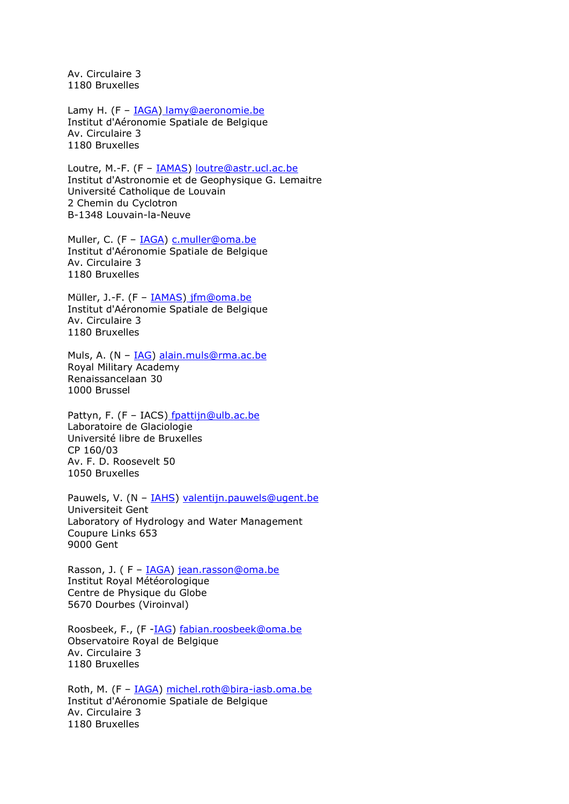Av. Circulaire 3 1180 Bruxelles

Lamy H. (F - [IAGA\)](http://www.iugg.org/IAGA) [lamy@aeronomie.be](mail:lamy@aeronomie.be) Institut d'Aéronomie Spatiale de Belgique Av. Circulaire 3 1180 Bruxelles

Loutre, M.-F. (F – [IAMAS\)](http://www.iamas.org/) [loutre@astr.ucl.ac.be](mailto:loutre@astr.ucl.ac.be) Institut d'Astronomie et de Geophysique G. Lemaitre Université Catholique de Louvain 2 Chemin du Cyclotron B-1348 Louvain-la-Neuve

Muller, C. (F - [IAGA\)](http://www.iugg.org/IAGA) [c.muller@oma.be](mailto:c.muller@oma.be) Institut d'Aéronomie Spatiale de Belgique Av. Circulaire 3 1180 Bruxelles

Müller, J.-F. (F – [IAMAS\)](http://www.iamas.org/) [jfm@oma.be](mailto:jfm@oma.be) Institut d'Aéronomie Spatiale de Belgique Av. Circulaire 3 1180 Bruxelles

Muls, A. (N – [IAG\)](http://www.iag-aig.org/) [alain.muls@rma.ac.be](mailto:alain.muls@rma.ac.be) Royal Military Academy Renaissancelaan 30 1000 Brussel

Pattyn, F. (F - IACS) [fpattijn@ulb.ac.be](mailto:fpattijn@ulb.ac.be) Laboratoire de Glaciologie Université libre de Bruxelles CP 160/03 Av. F. D. Roosevelt 50 1050 Bruxelles

Pauwels, V. (N - [IAHS\)](http://www.cig.ensmp.fr/~iahs/) [valentijn.pauwels@ugent.be](mailto:valentijn.pauwels@ugent.be) Universiteit Gent Laboratory of Hydrology and Water Management Coupure Links 653 9000 Gent

Rasson, J. ( F – [IAGA\)](http://www.iugg.org/IAGA) [jean.rasson@oma.be](mailto:jean.rasson@oma.be) Institut Royal Météorologique Centre de Physique du Globe 5670 Dourbes (Viroinval)

Roosbeek, F., (F [-IAG\)](http://www.iag-aig.org/) [fabian.roosbeek@oma.be](mailto:fabian.roosbeek@oma.be) Observatoire Royal de Belgique Av. Circulaire 3 1180 Bruxelles

Roth, M. (F – [IAGA\)](http://www.iugg.org/IAGA) [michel.roth@bira-iasb.oma.be](mailto:michel.roth@bira-iasb.oma.be) Institut d'Aéronomie Spatiale de Belgique Av. Circulaire 3 1180 Bruxelles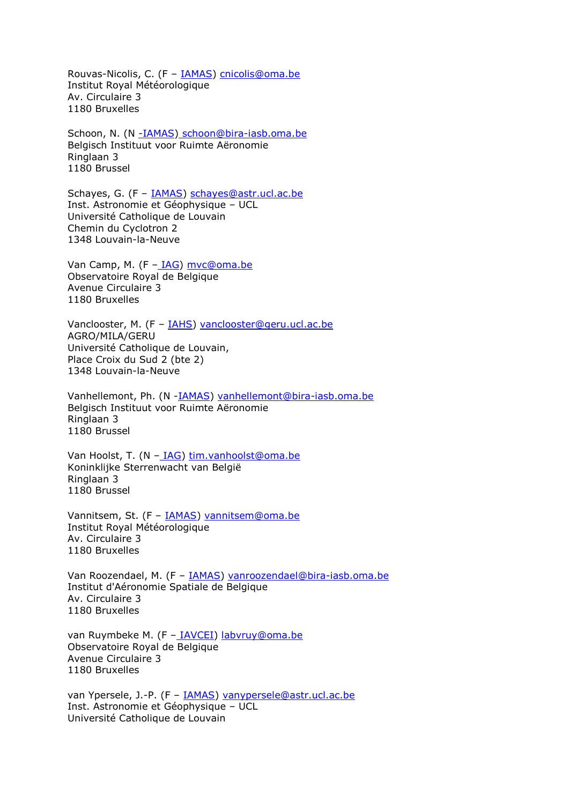Rouvas-Nicolis, C. (F - **IAMAS**) [cnicolis@oma.be](mailto:cnicolis@oma.be) Institut Royal Météorologique Av. Circulaire 3 1180 Bruxelles

Schoon, N. (N [-IAMAS\)](http://www.iamas.org/) [schoon@bira-iasb.oma.be](mailto:schoon@bira-iasb.oma.be)  Belgisch Instituut voor Ruimte Aëronomie Ringlaan 3 1180 Brussel

Schayes, G. (F - [IAMAS\)](http://www.iamas.org/) [schayes@astr.ucl.ac.be](mailto:schayes@astr.ucl.ac.be) Inst. Astronomie et Géophysique – UCL Université Catholique de Louvain Chemin du Cyclotron 2 1348 Louvain-la-Neuve

Van Camp, M. (F - [IAG\)](http://www.iag-aig.org/) myc@oma.be Observatoire Royal de Belgique Avenue Circulaire 3 1180 Bruxelles

Vanclooster, M. (F – [IAHS\)](http://www.cig.ensmp.fr/~iahs/) [vanclooster@geru.ucl.ac.be](mailto:vanclooster@geru.ucl.ac.be) AGRO/MILA/GERU Université Catholique de Louvain, Place Croix du Sud 2 (bte 2) 1348 Louvain-la-Neuve

Vanhellemont, Ph. (N [-IAMAS\)](http://www.iamas.org/) [vanhellemont@bira-iasb.oma.be](mailto:vanhellemont@bira-iasb.oma.be)  Belgisch Instituut voor Ruimte Aëronomie Ringlaan 3 1180 Brussel

Van Hoolst, T. (N - [IAG\)](http://www.iag-aig.org/) [tim.vanhoolst@oma.be](mailto:tim.vanhoolst@oma.be) Koninklijke Sterrenwacht van België Ringlaan 3 1180 Brussel

Vannitsem, St. (F - [IAMAS\)](http://www.iamas.org/) [vannitsem@oma.be](mailto:vannitsem@oma.be) Institut Royal Météorologique Av. Circulaire 3 1180 Bruxelles

Van Roozendael, M. (F – [IAMAS\)](http://www.iamas.org/) [vanroozendael@bira-iasb.oma.be](mailto:vanroozendael@bira-iasb.oma.be) Institut d'Aéronomie Spatiale de Belgique Av. Circulaire 3 1180 Bruxelles

van Ruymbeke M. (F - [IAVCEI\)](http://www.iavcei.org/) [labvruy@oma.be](mailto:labvruy@oma.be) Observatoire Royal de Belgique Avenue Circulaire 3 1180 Bruxelles

van Ypersele, J.-P. (F - [IAMAS\)](http://www.iamas.org/) [vanypersele@astr.ucl.ac.be](mailto:vanypersele@astr.ucl.ac.be) Inst. Astronomie et Géophysique – UCL Université Catholique de Louvain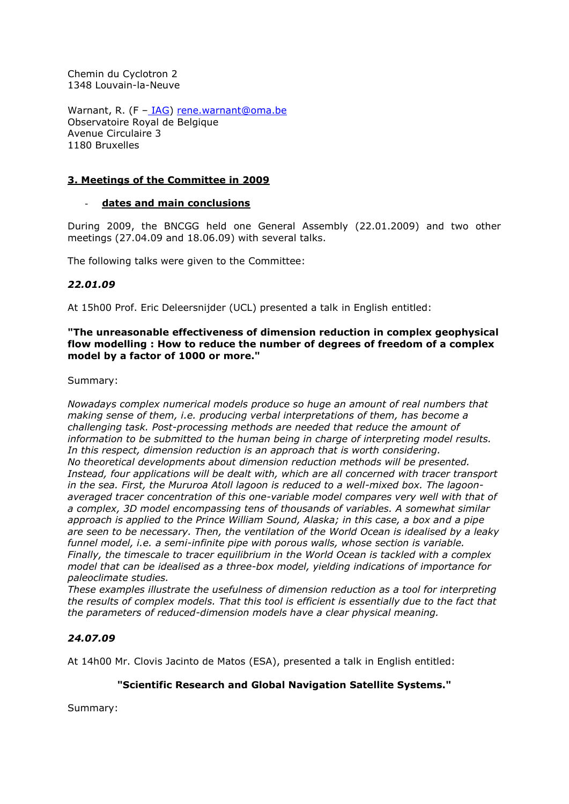Chemin du Cyclotron 2 1348 Louvain-la-Neuve

Warnant, R. (F - [IAG\)](http://www.iag-aig.org/) [rene.warnant@oma.be](mailto:rene.warnant@oma.be) Observatoire Royal de Belgique Avenue Circulaire 3 1180 Bruxelles

### **3. Meetings of the Committee in 2009**

### - **dates and main conclusions**

During 2009, the BNCGG held one General Assembly (22.01.2009) and two other meetings (27.04.09 and 18.06.09) with several talks.

The following talks were given to the Committee:

### *22.01.09*

At 15h00 Prof. Eric Deleersnijder (UCL) presented a talk in English entitled:

### **"The unreasonable effectiveness of dimension reduction in complex geophysical flow modelling : How to reduce the number of degrees of freedom of a complex model by a factor of 1000 or more."**

### Summary:

*Nowadays complex numerical models produce so huge an amount of real numbers that making sense of them, i.e. producing verbal interpretations of them, has become a challenging task. Post-processing methods are needed that reduce the amount of information to be submitted to the human being in charge of interpreting model results.*  In this respect, dimension reduction is an approach that is worth considering. *No theoretical developments about dimension reduction methods will be presented. Instead, four applications will be dealt with, which are all concerned with tracer transport in the sea. First, the Mururoa Atoll lagoon is reduced to a well-mixed box. The lagoonaveraged tracer concentration of this one-variable model compares very well with that of a complex, 3D model encompassing tens of thousands of variables. A somewhat similar approach is applied to the Prince William Sound, Alaska; in this case, a box and a pipe are seen to be necessary. Then, the ventilation of the World Ocean is idealised by a leaky funnel model, i.e. a semi-infinite pipe with porous walls, whose section is variable. Finally, the timescale to tracer equilibrium in the World Ocean is tackled with a complex model that can be idealised as a three-box model, yielding indications of importance for paleoclimate studies.* 

*These examples illustrate the usefulness of dimension reduction as a tool for interpreting the results of complex models. That this tool is efficient is essentially due to the fact that the parameters of reduced-dimension models have a clear physical meaning.*

## *24.07.09*

At 14h00 Mr. Clovis Jacinto de Matos (ESA), presented a talk in English entitled:

### **"Scientific Research and Global Navigation Satellite Systems."**

Summary: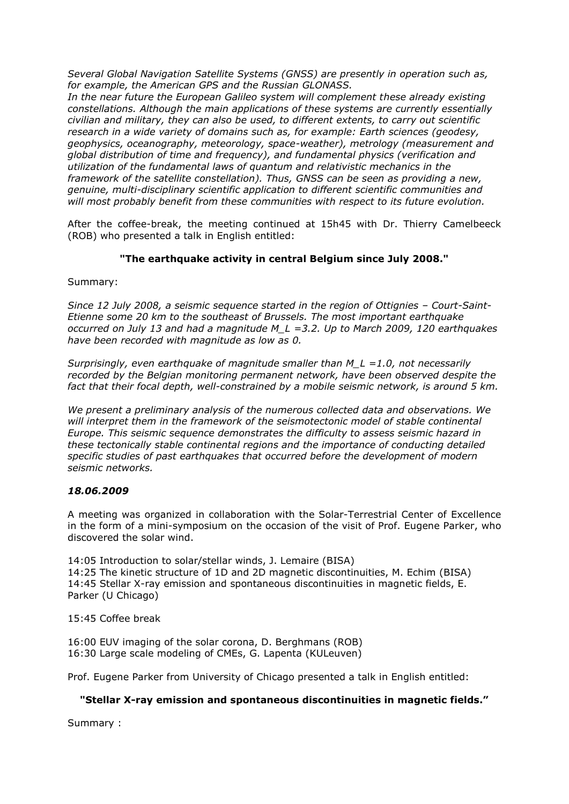*Several Global Navigation Satellite Systems (GNSS) are presently in operation such as, for example, the American GPS and the Russian GLONASS.* 

*In the near future the European Galileo system will complement these already existing constellations. Although the main applications of these systems are currently essentially civilian and military, they can also be used, to different extents, to carry out scientific research in a wide variety of domains such as, for example: Earth sciences (geodesy, geophysics, oceanography, meteorology, space-weather), metrology (measurement and global distribution of time and frequency), and fundamental physics (verification and utilization of the fundamental laws of quantum and relativistic mechanics in the framework of the satellite constellation). Thus, GNSS can be seen as providing a new, genuine, multi-disciplinary scientific application to different scientific communities and will most probably benefit from these communities with respect to its future evolution.*

After the coffee-break, the meeting continued at 15h45 with Dr. Thierry Camelbeeck (ROB) who presented a talk in English entitled:

## **"The earthquake activity in central Belgium since July 2008."**

Summary:

*Since 12 July 2008, a seismic sequence started in the region of Ottignies – Court-Saint-Etienne some 20 km to the southeast of Brussels. The most important earthquake occurred on July 13 and had a magnitude M\_L =3.2. Up to March 2009, 120 earthquakes have been recorded with magnitude as low as 0.* 

*Surprisingly, even earthquake of magnitude smaller than M\_L =1.0, not necessarily recorded by the Belgian monitoring permanent network, have been observed despite the fact that their focal depth, well-constrained by a mobile seismic network, is around 5 km.* 

*We present a preliminary analysis of the numerous collected data and observations. We*  will interpret them in the framework of the seismotectonic model of stable continental *Europe. This seismic sequence demonstrates the difficulty to assess seismic hazard in these tectonically stable continental regions and the importance of conducting detailed specific studies of past earthquakes that occurred before the development of modern seismic networks.* 

## *18.06.2009*

A meeting was organized in collaboration with the Solar-Terrestrial Center of Excellence in the form of a mini-symposium on the occasion of the visit of Prof. Eugene Parker, who discovered the solar wind.

14:05 Introduction to solar/stellar winds, J. Lemaire (BISA) 14:25 The kinetic structure of 1D and 2D magnetic discontinuities, M. Echim (BISA) 14:45 Stellar X-ray emission and spontaneous discontinuities in magnetic fields, E. Parker (U Chicago)

15:45 Coffee break

16:00 EUV imaging of the solar corona, D. Berghmans (ROB) 16:30 Large scale modeling of CMEs, G. Lapenta (KULeuven)

Prof. Eugene Parker from University of Chicago presented a talk in English entitled:

## **"Stellar X-ray emission and spontaneous discontinuities in magnetic fields."**

Summary :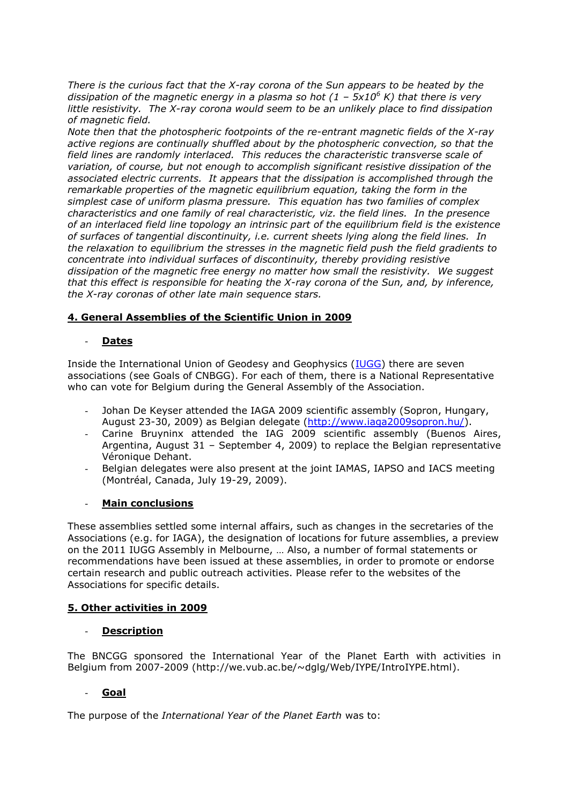*There is the curious fact that the X-ray corona of the Sun appears to be heated by the dissipation of the magnetic energy in a plasma so hot (1 – 5x10<sup>6</sup> K) that there is very little resistivity. The X-ray corona would seem to be an unlikely place to find dissipation of magnetic field.* 

*Note then that the photospheric footpoints of the re-entrant magnetic fields of the X-ray active regions are continually shuffled about by the photospheric convection, so that the field lines are randomly interlaced. This reduces the characteristic transverse scale of variation, of course, but not enough to accomplish significant resistive dissipation of the associated electric currents. It appears that the dissipation is accomplished through the remarkable properties of the magnetic equilibrium equation, taking the form in the simplest case of uniform plasma pressure. This equation has two families of complex characteristics and one family of real characteristic, viz. the field lines. In the presence of an interlaced field line topology an intrinsic part of the equilibrium field is the existence of surfaces of tangential discontinuity, i.e. current sheets lying along the field lines. In the relaxation to equilibrium the stresses in the magnetic field push the field gradients to concentrate into individual surfaces of discontinuity, thereby providing resistive dissipation of the magnetic free energy no matter how small the resistivity. We suggest that this effect is responsible for heating the X-ray corona of the Sun, and, by inference, the X-ray coronas of other late main sequence stars.* 

## **4. General Assemblies of the Scientific Union in 2009**

### - **Dates**

Inside the International Union of Geodesy and Geophysics [\(IUGG\)](http://www.iugg.org/) there are seven associations (see Goals of CNBGG). For each of them, there is a National Representative who can vote for Belgium during the General Assembly of the Association.

- Johan De Keyser attended the IAGA 2009 scientific assembly (Sopron, Hungary, August 23-30, 2009) as Belgian delegate [\(http://www.iaga2009sopron.hu/\)](http://www.iaga2009sopron.hu/).
- Carine Bruyninx attended the IAG 2009 scientific assembly (Buenos Aires, Argentina, August 31 – September 4, 2009) to replace the Belgian representative Véronique Dehant.
- Belgian delegates were also present at the joint IAMAS, IAPSO and IACS meeting (Montréal, Canada, July 19-29, 2009).

### - **Main conclusions**

These assemblies settled some internal affairs, such as changes in the secretaries of the Associations (e.g. for IAGA), the designation of locations for future assemblies, a preview on the 2011 IUGG Assembly in Melbourne, … Also, a number of formal statements or recommendations have been issued at these assemblies, in order to promote or endorse certain research and public outreach activities. Please refer to the websites of the Associations for specific details.

### **5. Other activities in 2009**

### **Description**

The BNCGG sponsored the International Year of the Planet Earth with activities in Belgium from 2007-2009 (http://we.vub.ac.be/~dglg/Web/IYPE/IntroIYPE.html).

## - **Goal**

The purpose of the *International Year of the Planet Earth* was to: